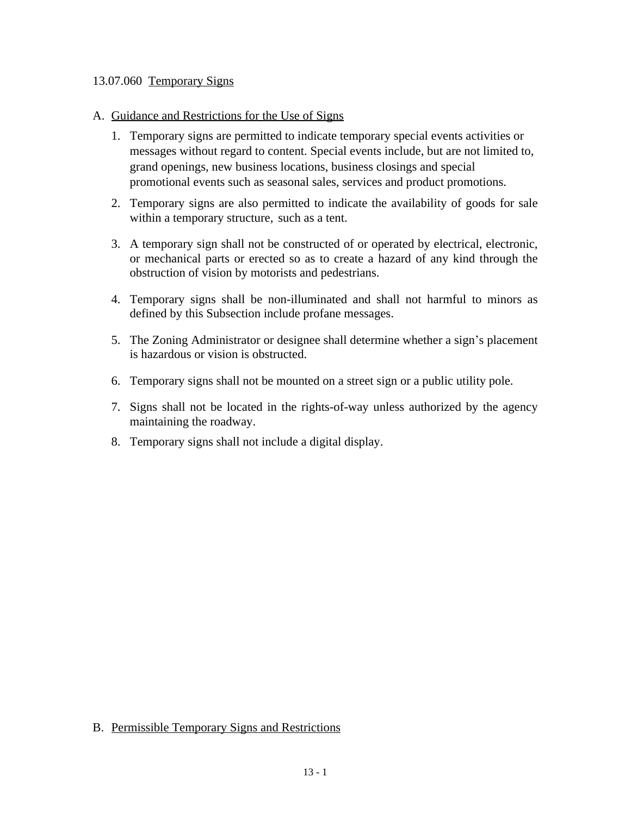## 13.07.060 Temporary Signs

## A. Guidance and Restrictions for the Use of Signs

- 1. Temporary signs are permitted to indicate temporary special events activities or messages without regard to content. Special events include, but are not limited to, grand openings, new business locations, business closings and special promotional events such as seasonal sales, services and product promotions.
- 2. Temporary signs are also permitted to indicate the availability of goods for sale within a temporary structure, such as a tent.
- 3. A temporary sign shall not be constructed of or operated by electrical, electronic, or mechanical parts or erected so as to create a hazard of any kind through the obstruction of vision by motorists and pedestrians.
- 4. Temporary signs shall be non-illuminated and shall not harmful to minors as defined by this Subsection include profane messages.
- 5. The Zoning Administrator or designee shall determine whether a sign's placement is hazardous or vision is obstructed.
- 6. Temporary signs shall not be mounted on a street sign or a public utility pole.
- 7. Signs shall not be located in the rights-of-way unless authorized by the agency maintaining the roadway.
- 8. Temporary signs shall not include a digital display.

## B. Permissible Temporary Signs and Restrictions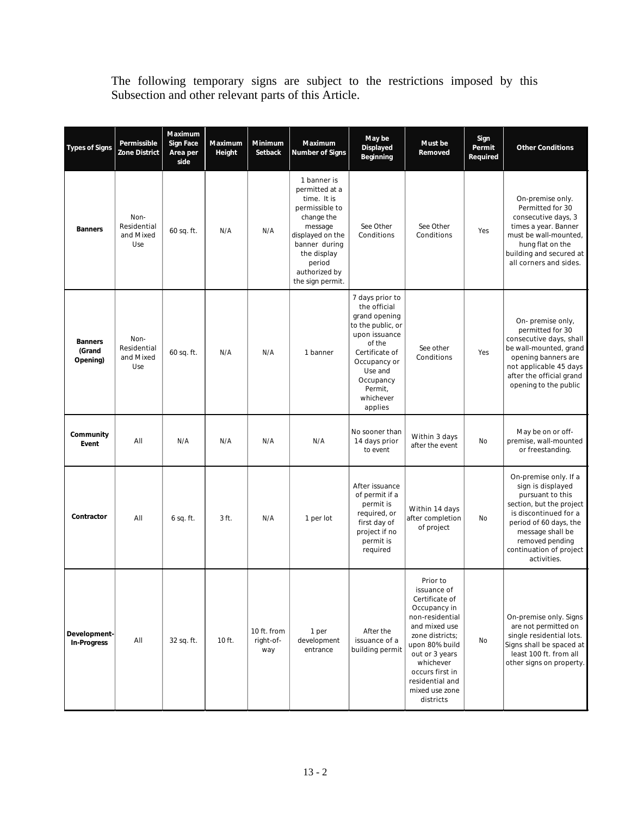The following temporary signs are subject to the restrictions imposed by this Subsection and other relevant parts of this Article.

| <b>Types of Signs</b>                | Permissible<br><b>Zone District</b>     | Maximum<br><b>Sign Face</b><br>Area per<br>side | <b>Maximum</b><br>Height | <b>Minimum</b><br>Setback       | Maximum<br><b>Number of Signs</b>                                                                                                                                                          | May be<br><b>Displayed</b><br><b>Beginning</b>                                                                                                                                                | Must be<br>Removed                                                                                                                                                                                                                     | Sign<br>Permit<br>Required | <b>Other Conditions</b>                                                                                                                                                                                                        |
|--------------------------------------|-----------------------------------------|-------------------------------------------------|--------------------------|---------------------------------|--------------------------------------------------------------------------------------------------------------------------------------------------------------------------------------------|-----------------------------------------------------------------------------------------------------------------------------------------------------------------------------------------------|----------------------------------------------------------------------------------------------------------------------------------------------------------------------------------------------------------------------------------------|----------------------------|--------------------------------------------------------------------------------------------------------------------------------------------------------------------------------------------------------------------------------|
| <b>Banners</b>                       | Non-<br>Residential<br>and Mixed<br>Use | 60 sq. ft.                                      | N/A                      | N/A                             | 1 banner is<br>permitted at a<br>time. It is<br>permissible to<br>change the<br>message<br>displayed on the<br>banner during<br>the display<br>period<br>authorized by<br>the sign permit. | See Other<br>Conditions                                                                                                                                                                       | See Other<br>Conditions                                                                                                                                                                                                                | Yes                        | On-premise only.<br>Permitted for 30<br>consecutive days, 3<br>times a year. Banner<br>must be wall-mounted,<br>hung flat on the<br>building and secured at<br>all corners and sides.                                          |
| <b>Banners</b><br>(Grand<br>Opening) | Non-<br>Residential<br>and Mixed<br>Use | 60 sq. ft.                                      | N/A                      | N/A                             | 1 banner                                                                                                                                                                                   | 7 days prior to<br>the official<br>grand opening<br>to the public, or<br>upon issuance<br>of the<br>Certificate of<br>Occupancy or<br>Use and<br>Occupancy<br>Permit,<br>whichever<br>applies | See other<br>Conditions                                                                                                                                                                                                                | Yes                        | On-premise only,<br>permitted for 30<br>consecutive days, shall<br>be wall-mounted, grand<br>opening banners are<br>not applicable 45 days<br>after the official grand<br>opening to the public                                |
| Community<br>Event                   | All                                     | N/A                                             | N/A                      | N/A                             | N/A                                                                                                                                                                                        | No sooner than<br>14 days prior<br>to event                                                                                                                                                   | Within 3 days<br>after the event                                                                                                                                                                                                       | <b>No</b>                  | May be on or off-<br>premise, wall-mounted<br>or freestanding.                                                                                                                                                                 |
| Contractor                           | All                                     | $6$ sq. ft.                                     | 3 ft.                    | N/A                             | 1 per lot                                                                                                                                                                                  | After issuance<br>of permit if a<br>permit is<br>required, or<br>first day of<br>project if no<br>permit is<br>required                                                                       | Within 14 days<br>after completion<br>of project                                                                                                                                                                                       | <b>No</b>                  | On-premise only. If a<br>sign is displayed<br>pursuant to this<br>section, but the project<br>is discontinued for a<br>period of 60 days, the<br>message shall be<br>removed pending<br>continuation of project<br>activities. |
| Development-<br><b>In-Progress</b>   | All                                     | 32 sq. ft.                                      | 10 ft.                   | 10 ft. from<br>right-of-<br>way | 1 per<br>development<br>entrance                                                                                                                                                           | After the<br>issuance of a<br>building permit                                                                                                                                                 | Prior to<br>issuance of<br>Certificate of<br>Occupancy in<br>non-residential<br>and mixed use<br>zone districts;<br>upon 80% build<br>out or 3 years<br>whichever<br>occurs first in<br>residential and<br>mixed use zone<br>districts | No                         | On-premise only. Signs<br>are not permitted on<br>single residential lots.<br>Signs shall be spaced at<br>least 100 ft. from all<br>other signs on property.                                                                   |